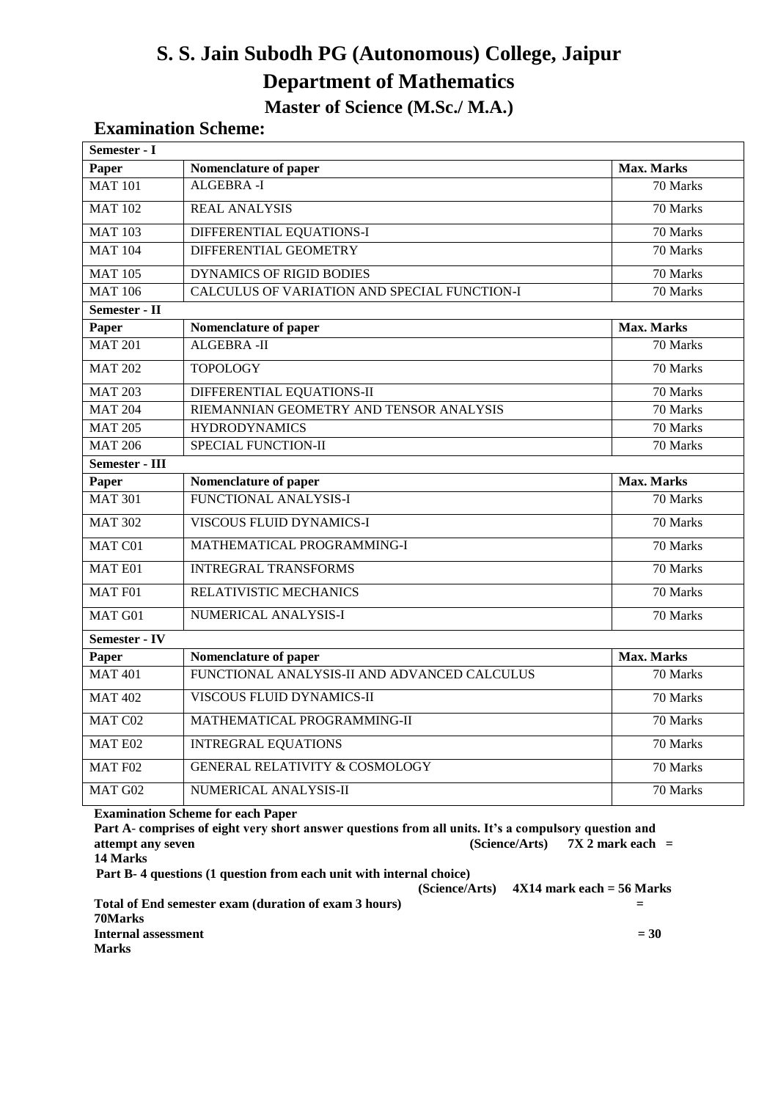# **S. S. Jain Subodh PG (Autonomous) College, Jaipur Department of Mathematics Master of Science (M.Sc./ M.A.)**

# **Examination Scheme:**

| Semester - I                        |                                              |                   |
|-------------------------------------|----------------------------------------------|-------------------|
| Paper                               | Nomenclature of paper                        | <b>Max. Marks</b> |
| <b>MAT 101</b>                      | ALGEBRA-I                                    | 70 Marks          |
| <b>MAT 102</b>                      | <b>REAL ANALYSIS</b>                         | 70 Marks          |
| <b>MAT 103</b>                      | DIFFERENTIAL EQUATIONS-I                     | 70 Marks          |
| <b>MAT 104</b>                      | DIFFERENTIAL GEOMETRY                        | 70 Marks          |
| <b>MAT 105</b>                      | <b>DYNAMICS OF RIGID BODIES</b>              | 70 Marks          |
| <b>MAT 106</b>                      | CALCULUS OF VARIATION AND SPECIAL FUNCTION-I | 70 Marks          |
| Semester - $\overline{\mathrm{II}}$ |                                              |                   |
| Paper                               | Nomenclature of paper                        | <b>Max. Marks</b> |
| <b>MAT 201</b>                      | <b>ALGEBRA-II</b>                            | 70 Marks          |
| <b>MAT 202</b>                      | <b>TOPOLOGY</b>                              | 70 Marks          |
| <b>MAT 203</b>                      | DIFFERENTIAL EQUATIONS-II                    | 70 Marks          |
| $\overline{MAT}$ 204                | RIEMANNIAN GEOMETRY AND TENSOR ANALYSIS      | 70 Marks          |
| <b>MAT 205</b>                      | <b>HYDRODYNAMICS</b>                         | 70 Marks          |
| <b>MAT 206</b>                      | SPECIAL FUNCTION-II                          | 70 Marks          |
| Semester - III                      |                                              |                   |
| Paper                               | Nomenclature of paper                        | <b>Max. Marks</b> |
| <b>MAT 301</b>                      | FUNCTIONAL ANALYSIS-I                        | 70 Marks          |
| <b>MAT 302</b>                      | <b>VISCOUS FLUID DYNAMICS-I</b>              | 70 Marks          |
| MAT C01                             | MATHEMATICAL PROGRAMMING-I                   | 70 Marks          |
| MAT E01                             | <b>INTREGRAL TRANSFORMS</b>                  | 70 Marks          |
| <b>MAT F01</b>                      | RELATIVISTIC MECHANICS                       | 70 Marks          |
| MAT G01                             | NUMERICAL ANALYSIS-I                         | 70 Marks          |
| Semester - IV                       |                                              |                   |
| Paper                               | Nomenclature of paper                        | <b>Max. Marks</b> |
| <b>MAT 401</b>                      | FUNCTIONAL ANALYSIS-II AND ADVANCED CALCULUS | 70 Marks          |
| <b>MAT 402</b>                      | VISCOUS FLUID DYNAMICS-II                    | 70 Marks          |
| MAT C02                             | MATHEMATICAL PROGRAMMING-II                  | 70 Marks          |
| MAT E02                             | <b>INTREGRAL EQUATIONS</b>                   | 70 Marks          |
| MAT F02                             | <b>GENERAL RELATIVITY &amp; COSMOLOGY</b>    | 70 Marks          |
| MAT G02                             | NUMERICAL ANALYSIS-II                        | 70 Marks          |

#### **Examination Scheme for each Paper**

**Part A**- **comprises of eight very short answer questions from all units. It's a compulsory question and attempt any seven (Science/Arts) 7X 2 mark each = 14 Marks**

**Part B- 4 questions (1 question from each unit with internal choice)** 

 **(Science/Arts) 4X14 mark each = 56 Marks Total of End semester exam (duration of exam 3 hours) =** 

**70Marks Internal assessment**  $= 30$ **Marks**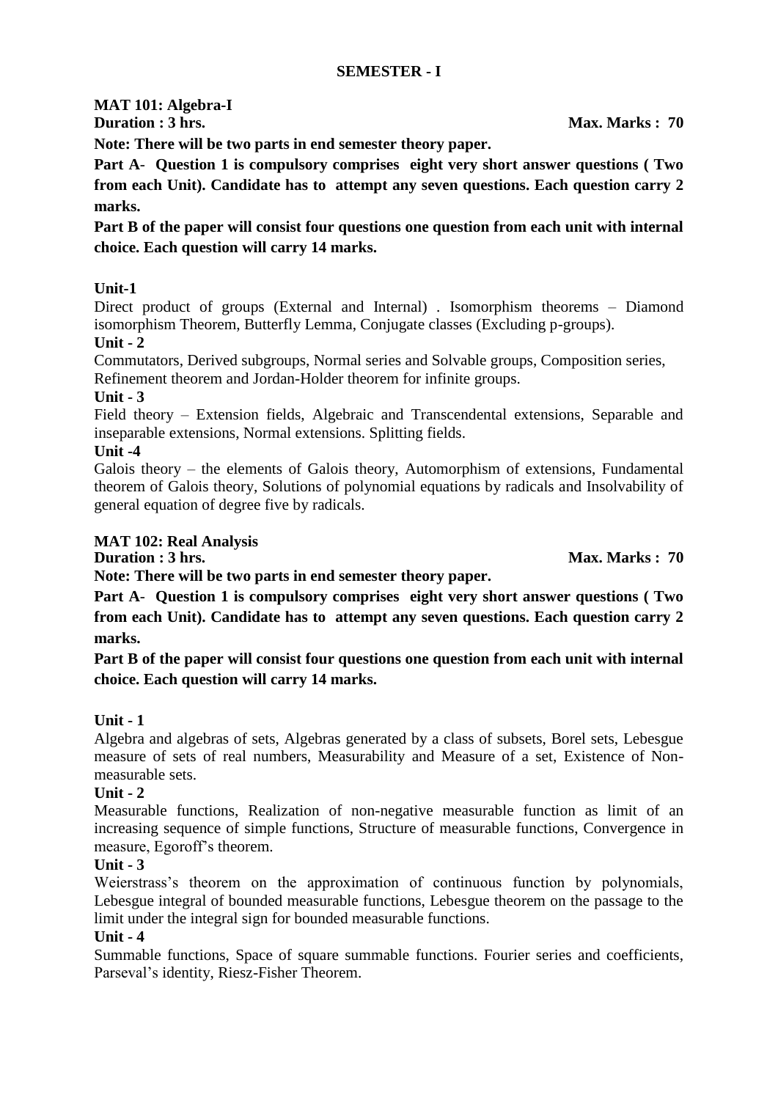# **MAT 101: Algebra-I**

**Note: There will be two parts in end semester theory paper.** 

**Part A**- **Question 1 is compulsory comprises eight very short answer questions ( Two from each Unit). Candidate has to attempt any seven questions. Each question carry 2 marks.**

**Part B of the paper will consist four questions one question from each unit with internal choice. Each question will carry 14 marks.**

# **Unit-1**

Direct product of groups (External and Internal) . Isomorphism theorems – Diamond isomorphism Theorem, Butterfly Lemma, Conjugate classes (Excluding p-groups). **Unit - 2**

Commutators, Derived subgroups, Normal series and Solvable groups, Composition series, Refinement theorem and Jordan-Holder theorem for infinite groups.

**Unit - 3**

Field theory – Extension fields, Algebraic and Transcendental extensions, Separable and inseparable extensions, Normal extensions. Splitting fields.

#### **Unit -4**

Galois theory – the elements of Galois theory, Automorphism of extensions, Fundamental theorem of Galois theory, Solutions of polynomial equations by radicals and Insolvability of general equation of degree five by radicals.

# **MAT 102: Real Analysis**

**Duration : 3 hrs.** Max. Marks : 70

**Note: There will be two parts in end semester theory paper.** 

**Part A**- **Question 1 is compulsory comprises eight very short answer questions ( Two from each Unit). Candidate has to attempt any seven questions. Each question carry 2 marks.**

**Part B of the paper will consist four questions one question from each unit with internal choice. Each question will carry 14 marks.**

# **Unit - 1**

Algebra and algebras of sets, Algebras generated by a class of subsets, Borel sets, Lebesgue measure of sets of real numbers, Measurability and Measure of a set, Existence of Nonmeasurable sets.

# **Unit - 2**

Measurable functions, Realization of non-negative measurable function as limit of an increasing sequence of simple functions, Structure of measurable functions, Convergence in measure, Egoroff's theorem.

# **Unit - 3**

Weierstrass's theorem on the approximation of continuous function by polynomials, Lebesgue integral of bounded measurable functions, Lebesgue theorem on the passage to the limit under the integral sign for bounded measurable functions.

# **Unit - 4**

Summable functions, Space of square summable functions. Fourier series and coefficients, Parseval's identity, Riesz-Fisher Theorem.

**Duration : 3 hrs.** Max. Marks : 70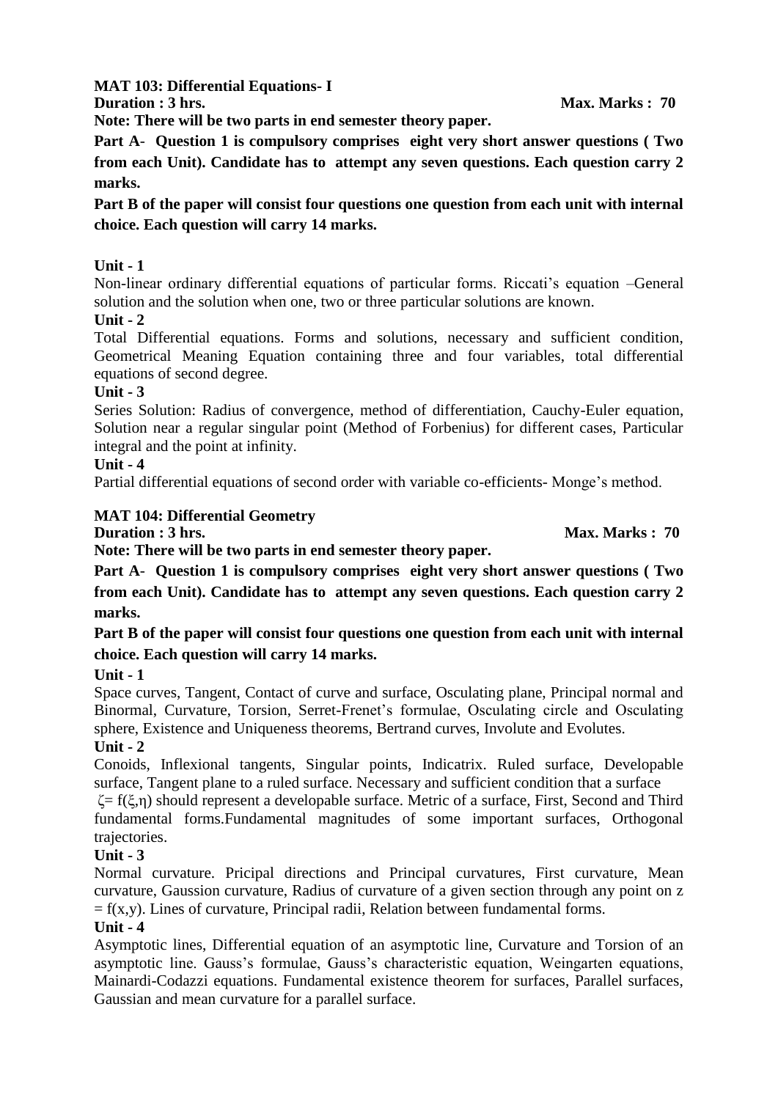**MAT 103: Differential Equations- I**

**Duration : 3 hrs.** Max. Marks : 70

**Note: There will be two parts in end semester theory paper.** 

**Part A**- **Question 1 is compulsory comprises eight very short answer questions ( Two from each Unit). Candidate has to attempt any seven questions. Each question carry 2 marks.**

**Part B of the paper will consist four questions one question from each unit with internal choice. Each question will carry 14 marks.**

# **Unit - 1**

Non-linear ordinary differential equations of particular forms. Riccati's equation –General solution and the solution when one, two or three particular solutions are known.

# **Unit - 2**

Total Differential equations. Forms and solutions, necessary and sufficient condition, Geometrical Meaning Equation containing three and four variables, total differential equations of second degree.

# **Unit - 3**

Series Solution: Radius of convergence, method of differentiation, Cauchy-Euler equation, Solution near a regular singular point (Method of Forbenius) for different cases, Particular integral and the point at infinity.

# **Unit - 4**

Partial differential equations of second order with variable co-efficients- Monge's method.

# **MAT 104: Differential Geometry**

**Duration : 3 hrs.** Max. Marks : 70

**Note: There will be two parts in end semester theory paper.** 

**Part A**- **Question 1 is compulsory comprises eight very short answer questions ( Two from each Unit). Candidate has to attempt any seven questions. Each question carry 2 marks.**

# **Part B of the paper will consist four questions one question from each unit with internal choice. Each question will carry 14 marks.**

# **Unit - 1**

Space curves, Tangent, Contact of curve and surface, Osculating plane, Principal normal and Binormal, Curvature, Torsion, Serret-Frenet's formulae, Osculating circle and Osculating sphere, Existence and Uniqueness theorems, Bertrand curves, Involute and Evolutes.

# **Unit - 2**

Conoids, Inflexional tangents, Singular points, Indicatrix. Ruled surface, Developable surface, Tangent plane to a ruled surface. Necessary and sufficient condition that a surface

 $\zeta = f(\xi, \eta)$  should represent a developable surface. Metric of a surface, First, Second and Third fundamental forms.Fundamental magnitudes of some important surfaces, Orthogonal trajectories.

# **Unit - 3**

Normal curvature. Pricipal directions and Principal curvatures, First curvature, Mean curvature, Gaussion curvature, Radius of curvature of a given section through any point on z  $= f(x,y)$ . Lines of curvature, Principal radii, Relation between fundamental forms.

# **Unit - 4**

Asymptotic lines, Differential equation of an asymptotic line, Curvature and Torsion of an asymptotic line. Gauss's formulae, Gauss's characteristic equation, Weingarten equations, Mainardi-Codazzi equations. Fundamental existence theorem for surfaces, Parallel surfaces, Gaussian and mean curvature for a parallel surface.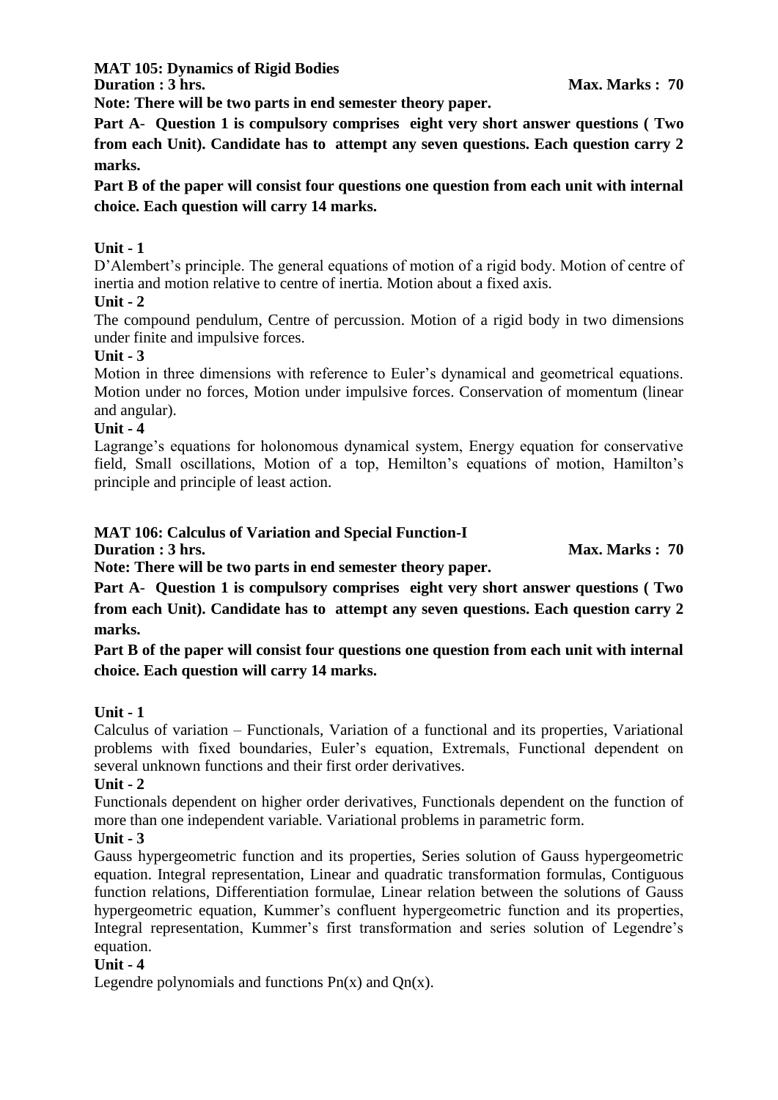**MAT 105: Dynamics of Rigid Bodies**

**Duration : 3 hrs.** Max. Marks : 70

**Note: There will be two parts in end semester theory paper.** 

**Part A**- **Question 1 is compulsory comprises eight very short answer questions ( Two from each Unit). Candidate has to attempt any seven questions. Each question carry 2 marks.**

**Part B of the paper will consist four questions one question from each unit with internal choice. Each question will carry 14 marks.**

# **Unit - 1**

D'Alembert's principle. The general equations of motion of a rigid body. Motion of centre of inertia and motion relative to centre of inertia. Motion about a fixed axis.

# **Unit - 2**

The compound pendulum, Centre of percussion. Motion of a rigid body in two dimensions under finite and impulsive forces.

# **Unit - 3**

Motion in three dimensions with reference to Euler's dynamical and geometrical equations. Motion under no forces, Motion under impulsive forces. Conservation of momentum (linear and angular).

# **Unit - 4**

Lagrange's equations for holonomous dynamical system, Energy equation for conservative field, Small oscillations, Motion of a top, Hemilton's equations of motion, Hamilton's principle and principle of least action.

# **MAT 106: Calculus of Variation and Special Function-I**

**Duration : 3 hrs.** Max. Marks : 70

**Note: There will be two parts in end semester theory paper.** 

**Part A**- **Question 1 is compulsory comprises eight very short answer questions ( Two from each Unit). Candidate has to attempt any seven questions. Each question carry 2 marks.**

**Part B of the paper will consist four questions one question from each unit with internal choice. Each question will carry 14 marks.**

# **Unit - 1**

Calculus of variation – Functionals, Variation of a functional and its properties, Variational problems with fixed boundaries, Euler's equation, Extremals, Functional dependent on several unknown functions and their first order derivatives.

# **Unit - 2**

Functionals dependent on higher order derivatives, Functionals dependent on the function of more than one independent variable. Variational problems in parametric form.

# **Unit - 3**

Gauss hypergeometric function and its properties, Series solution of Gauss hypergeometric equation. Integral representation, Linear and quadratic transformation formulas, Contiguous function relations, Differentiation formulae, Linear relation between the solutions of Gauss hypergeometric equation, Kummer's confluent hypergeometric function and its properties, Integral representation, Kummer's first transformation and series solution of Legendre's equation.

# **Unit - 4**

Legendre polynomials and functions  $Pn(x)$  and  $On(x)$ .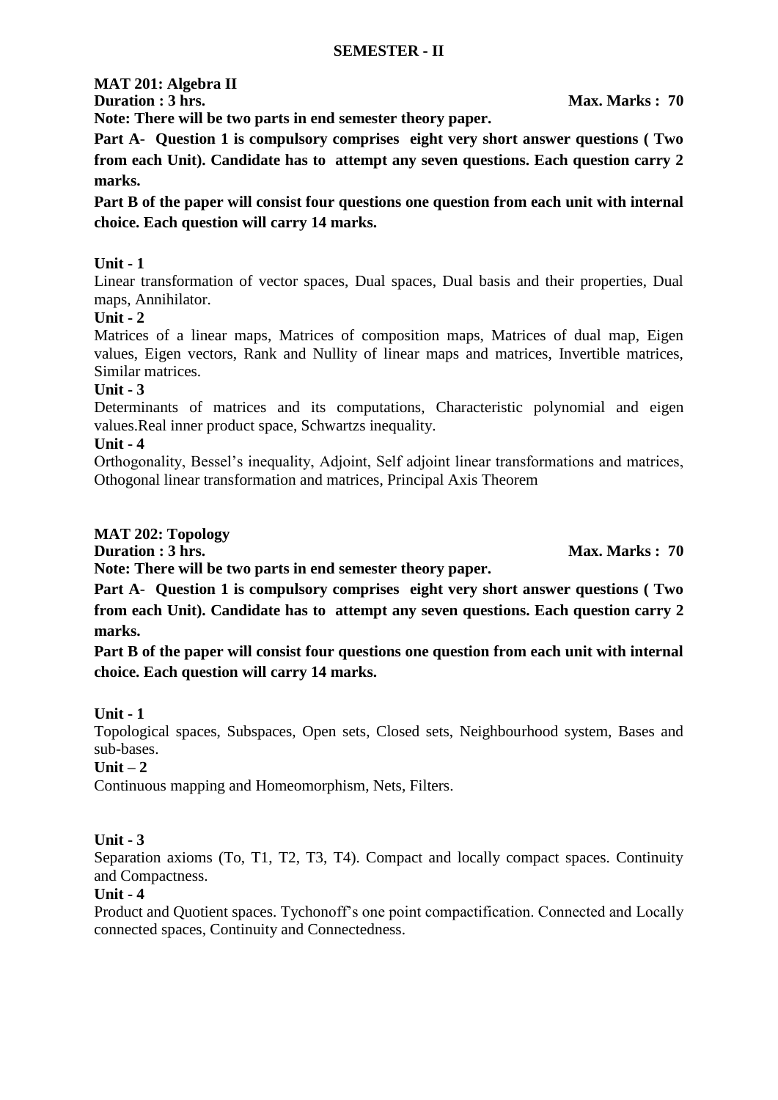# **MAT 201: Algebra II**

**Duration : 3 hrs.** Max. Marks : 70

**Note: There will be two parts in end semester theory paper.** 

**Part A**- **Question 1 is compulsory comprises eight very short answer questions ( Two from each Unit). Candidate has to attempt any seven questions. Each question carry 2 marks.**

**Part B of the paper will consist four questions one question from each unit with internal choice. Each question will carry 14 marks.**

# **Unit - 1**

Linear transformation of vector spaces, Dual spaces, Dual basis and their properties, Dual maps, Annihilator.

# **Unit - 2**

Matrices of a linear maps, Matrices of composition maps, Matrices of dual map, Eigen values, Eigen vectors, Rank and Nullity of linear maps and matrices, Invertible matrices, Similar matrices.

# **Unit - 3**

Determinants of matrices and its computations, Characteristic polynomial and eigen values.Real inner product space, Schwartzs inequality.

# **Unit - 4**

Orthogonality, Bessel's inequality, Adjoint, Self adjoint linear transformations and matrices, Othogonal linear transformation and matrices, Principal Axis Theorem

# **MAT 202: Topology**

**Duration : 3 hrs.** Max. Marks : 70

**Note: There will be two parts in end semester theory paper.** 

**Part A**- **Question 1 is compulsory comprises eight very short answer questions ( Two from each Unit). Candidate has to attempt any seven questions. Each question carry 2 marks.**

**Part B of the paper will consist four questions one question from each unit with internal choice. Each question will carry 14 marks.**

# **Unit - 1**

Topological spaces, Subspaces, Open sets, Closed sets, Neighbourhood system, Bases and sub-bases.

# **Unit – 2**

Continuous mapping and Homeomorphism, Nets, Filters.

# **Unit - 3**

Separation axioms (To, T1, T2, T3, T4). Compact and locally compact spaces. Continuity and Compactness.

# **Unit - 4**

Product and Quotient spaces. Tychonoff's one point compactification. Connected and Locally connected spaces, Continuity and Connectedness.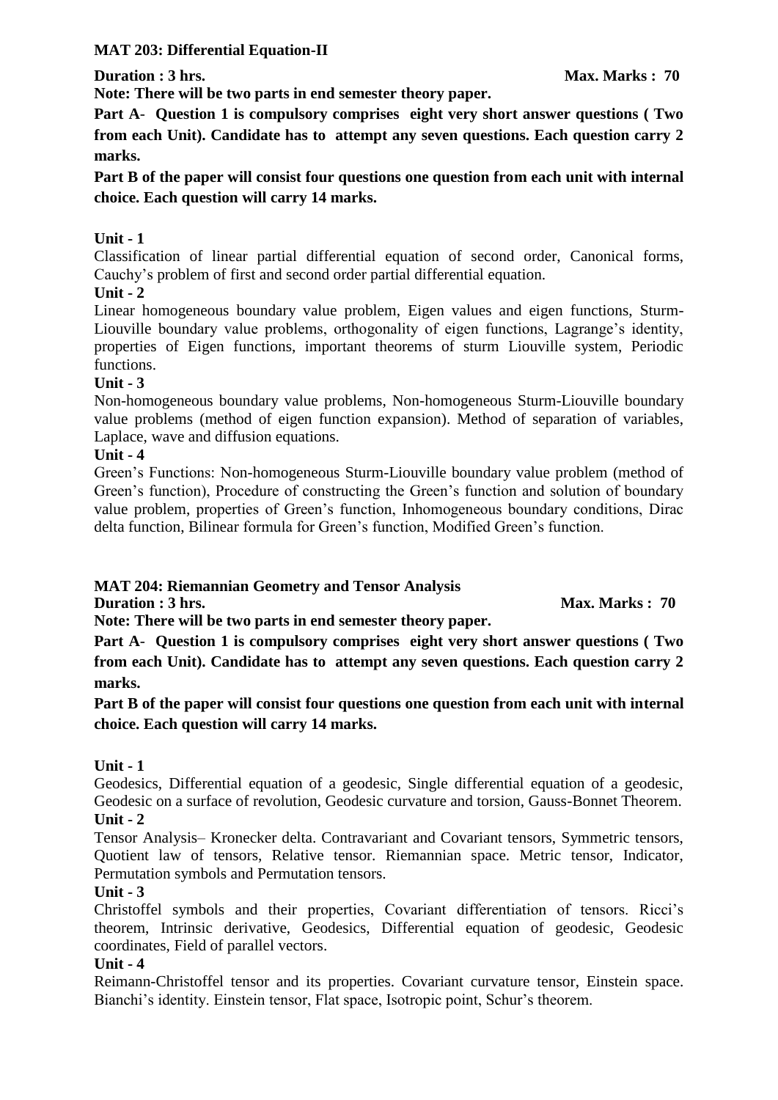# **MAT 203: Differential Equation-II**

**Note: There will be two parts in end semester theory paper.** 

**Part A**- **Question 1 is compulsory comprises eight very short answer questions ( Two from each Unit). Candidate has to attempt any seven questions. Each question carry 2 marks.**

**Part B of the paper will consist four questions one question from each unit with internal choice. Each question will carry 14 marks.**

# **Unit - 1**

Classification of linear partial differential equation of second order, Canonical forms, Cauchy's problem of first and second order partial differential equation.

# **Unit - 2**

Linear homogeneous boundary value problem, Eigen values and eigen functions, Sturm-Liouville boundary value problems, orthogonality of eigen functions, Lagrange's identity, properties of Eigen functions, important theorems of sturm Liouville system, Periodic functions.

#### **Unit - 3**

Non-homogeneous boundary value problems, Non-homogeneous Sturm-Liouville boundary value problems (method of eigen function expansion). Method of separation of variables, Laplace, wave and diffusion equations.

# **Unit - 4**

Green's Functions: Non-homogeneous Sturm-Liouville boundary value problem (method of Green's function), Procedure of constructing the Green's function and solution of boundary value problem, properties of Green's function, Inhomogeneous boundary conditions, Dirac delta function, Bilinear formula for Green's function, Modified Green's function.

# **MAT 204: Riemannian Geometry and Tensor Analysis**

**Duration : 3 hrs.** Max. Marks : 70

**Note: There will be two parts in end semester theory paper.** 

**Part A**- **Question 1 is compulsory comprises eight very short answer questions ( Two from each Unit). Candidate has to attempt any seven questions. Each question carry 2 marks.**

**Part B of the paper will consist four questions one question from each unit with internal choice. Each question will carry 14 marks.**

# **Unit - 1**

Geodesics, Differential equation of a geodesic, Single differential equation of a geodesic, Geodesic on a surface of revolution, Geodesic curvature and torsion, Gauss-Bonnet Theorem. **Unit - 2**

Tensor Analysis– Kronecker delta. Contravariant and Covariant tensors, Symmetric tensors, Quotient law of tensors, Relative tensor. Riemannian space. Metric tensor, Indicator, Permutation symbols and Permutation tensors.

#### **Unit - 3**

Christoffel symbols and their properties, Covariant differentiation of tensors. Ricci's theorem, Intrinsic derivative, Geodesics, Differential equation of geodesic, Geodesic coordinates, Field of parallel vectors.

#### **Unit - 4**

Reimann-Christoffel tensor and its properties. Covariant curvature tensor, Einstein space. Bianchi's identity. Einstein tensor, Flat space, Isotropic point, Schur's theorem.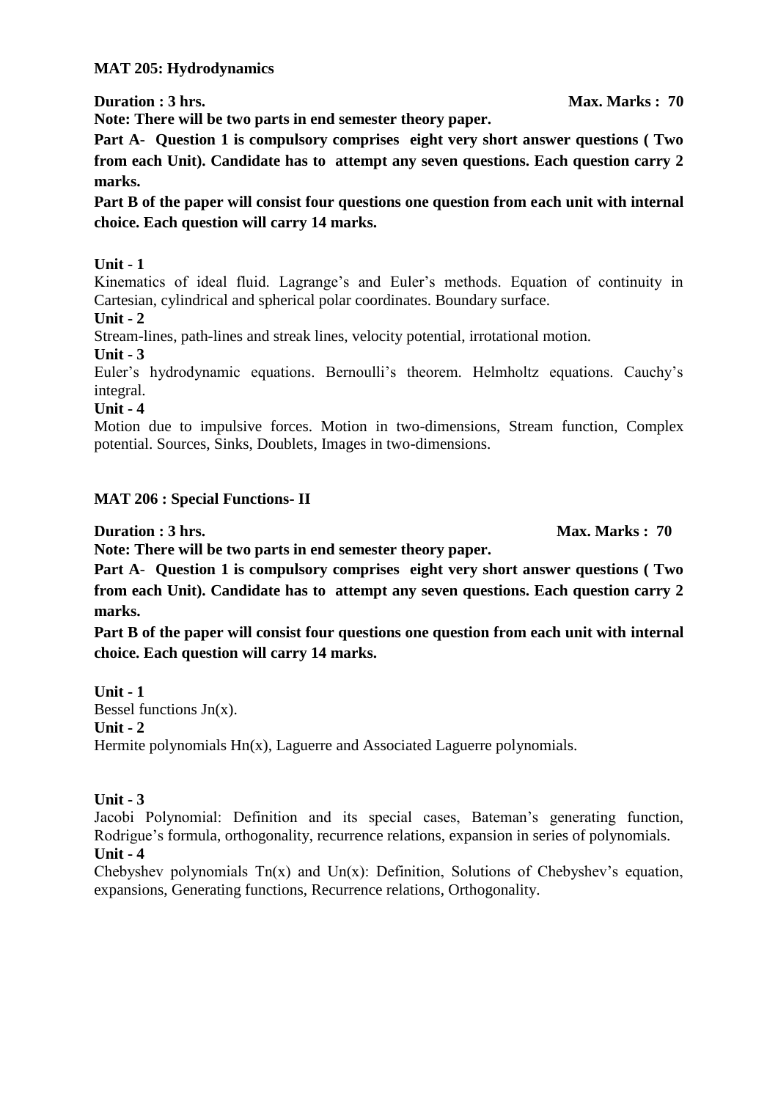#### **MAT 205: Hydrodynamics**

**Note: There will be two parts in end semester theory paper.** 

**Part A**- **Question 1 is compulsory comprises eight very short answer questions ( Two from each Unit). Candidate has to attempt any seven questions. Each question carry 2 marks.**

**Part B of the paper will consist four questions one question from each unit with internal choice. Each question will carry 14 marks.**

**Unit - 1**

Kinematics of ideal fluid. Lagrange's and Euler's methods. Equation of continuity in Cartesian, cylindrical and spherical polar coordinates. Boundary surface.

**Unit - 2**

Stream-lines, path-lines and streak lines, velocity potential, irrotational motion.

**Unit - 3**

Euler's hydrodynamic equations. Bernoulli's theorem. Helmholtz equations. Cauchy's integral.

**Unit - 4**

Motion due to impulsive forces. Motion in two-dimensions, Stream function, Complex potential. Sources, Sinks, Doublets, Images in two-dimensions.

# **MAT 206 : Special Functions- II**

**Duration : 3 hrs.** Max. Marks : 70

**Note: There will be two parts in end semester theory paper.** 

**Part A**- **Question 1 is compulsory comprises eight very short answer questions ( Two from each Unit). Candidate has to attempt any seven questions. Each question carry 2 marks.**

**Part B of the paper will consist four questions one question from each unit with internal choice. Each question will carry 14 marks.**

**Unit - 1** Bessel functions  $Jn(x)$ . **Unit - 2** Hermite polynomials Hn(x), Laguerre and Associated Laguerre polynomials.

# **Unit - 3**

Jacobi Polynomial: Definition and its special cases, Bateman's generating function, Rodrigue's formula, orthogonality, recurrence relations, expansion in series of polynomials. **Unit - 4**

Chebyshev polynomials  $Tn(x)$  and  $Un(x)$ : Definition, Solutions of Chebyshev's equation, expansions, Generating functions, Recurrence relations, Orthogonality.

**Duration : 3 hrs.** Max. Marks : 70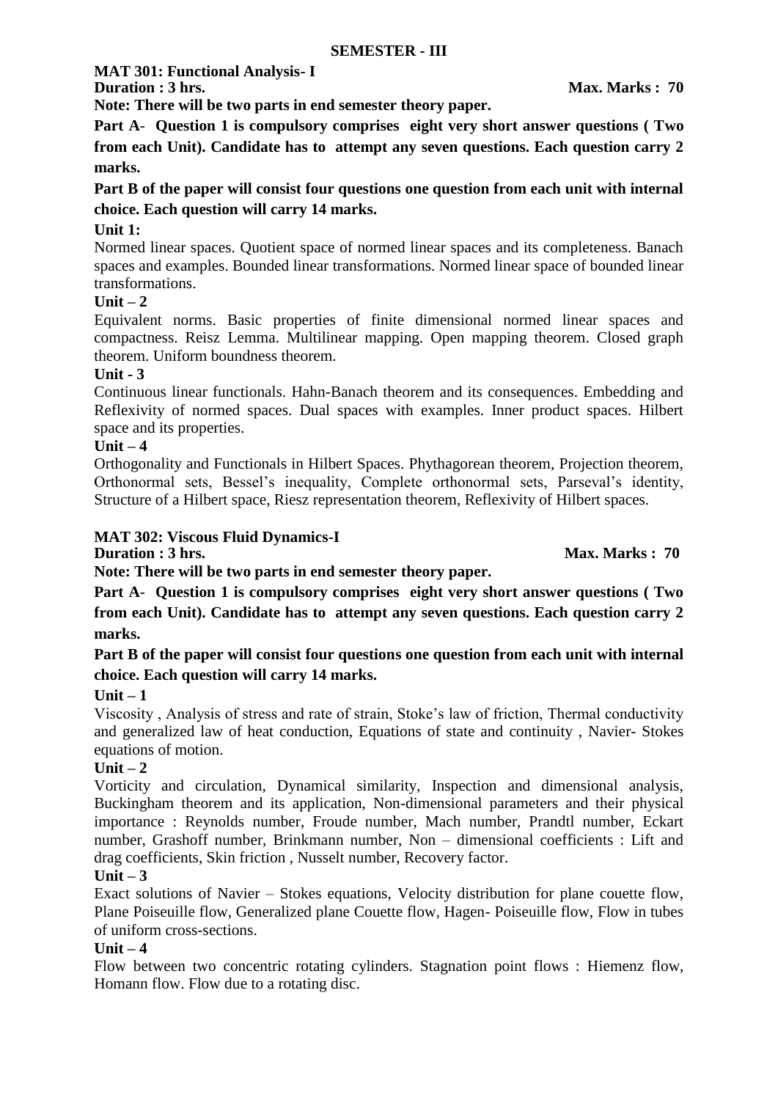**MAT 301: Functional Analysis- I**

**Duration : 3 hrs.** Max. Marks : 70

**Note: There will be two parts in end semester theory paper.** 

**Part A**- **Question 1 is compulsory comprises eight very short answer questions ( Two from each Unit). Candidate has to attempt any seven questions. Each question carry 2 marks.**

**Part B of the paper will consist four questions one question from each unit with internal choice. Each question will carry 14 marks.**

# **Unit 1:**

Normed linear spaces. Quotient space of normed linear spaces and its completeness. Banach spaces and examples. Bounded linear transformations. Normed linear space of bounded linear transformations.

# **Unit – 2**

Equivalent norms. Basic properties of finite dimensional normed linear spaces and compactness. Reisz Lemma. Multilinear mapping. Open mapping theorem. Closed graph theorem. Uniform boundness theorem.

# **Unit - 3**

Continuous linear functionals. Hahn-Banach theorem and its consequences. Embedding and Reflexivity of normed spaces. Dual spaces with examples. Inner product spaces. Hilbert space and its properties.

# **Unit – 4**

Orthogonality and Functionals in Hilbert Spaces. Phythagorean theorem, Projection theorem, Orthonormal sets, Bessel's inequality, Complete orthonormal sets, Parseval's identity, Structure of a Hilbert space, Riesz representation theorem, Reflexivity of Hilbert spaces.

#### **MAT 302: Viscous Fluid Dynamics-I**

**Duration : 3 hrs.** Max. Marks : 70

**Note: There will be two parts in end semester theory paper.** 

**Part A**- **Question 1 is compulsory comprises eight very short answer questions ( Two from each Unit). Candidate has to attempt any seven questions. Each question carry 2 marks.**

**Part B of the paper will consist four questions one question from each unit with internal choice. Each question will carry 14 marks.**

# **Unit – 1**

Viscosity , Analysis of stress and rate of strain, Stoke's law of friction, Thermal conductivity and generalized law of heat conduction, Equations of state and continuity , Navier- Stokes equations of motion.

#### **Unit – 2**

Vorticity and circulation, Dynamical similarity, Inspection and dimensional analysis, Buckingham theorem and its application, Non-dimensional parameters and their physical importance : Reynolds number, Froude number, Mach number, Prandtl number, Eckart number, Grashoff number, Brinkmann number, Non – dimensional coefficients : Lift and drag coefficients, Skin friction , Nusselt number, Recovery factor.

#### **Unit – 3**

Exact solutions of Navier – Stokes equations, Velocity distribution for plane couette flow, Plane Poiseuille flow, Generalized plane Couette flow, Hagen- Poiseuille flow, Flow in tubes of uniform cross-sections.

# **Unit – 4**

Flow between two concentric rotating cylinders. Stagnation point flows : Hiemenz flow, Homann flow. Flow due to a rotating disc.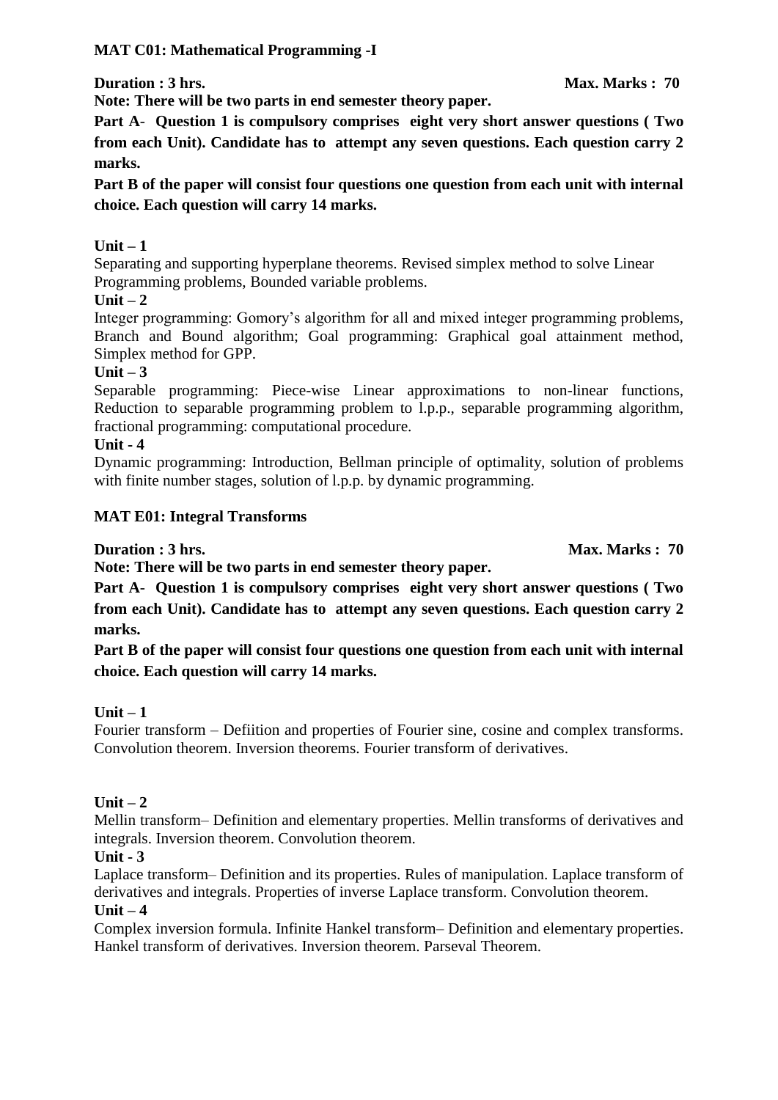# **MAT C01: Mathematical Programming -I**

**Duration : 3 hrs.** Max. Marks : 70

**Note: There will be two parts in end semester theory paper.** 

**Part A**- **Question 1 is compulsory comprises eight very short answer questions ( Two from each Unit). Candidate has to attempt any seven questions. Each question carry 2 marks.**

**Part B of the paper will consist four questions one question from each unit with internal choice. Each question will carry 14 marks.**

# **Unit – 1**

Separating and supporting hyperplane theorems. Revised simplex method to solve Linear Programming problems, Bounded variable problems.

**Unit – 2**

Integer programming: Gomory's algorithm for all and mixed integer programming problems, Branch and Bound algorithm; Goal programming: Graphical goal attainment method, Simplex method for GPP.

#### **Unit – 3**

Separable programming: Piece-wise Linear approximations to non-linear functions, Reduction to separable programming problem to l.p.p., separable programming algorithm, fractional programming: computational procedure.

#### **Unit - 4**

Dynamic programming: Introduction, Bellman principle of optimality, solution of problems with finite number stages, solution of l.p.p. by dynamic programming.

# **MAT E01: Integral Transforms**

**Duration : 3 hrs.** Max. Marks : 70

**Note: There will be two parts in end semester theory paper. Part A**- **Question 1 is compulsory comprises eight very short answer questions ( Two from each Unit). Candidate has to attempt any seven questions. Each question carry 2** 

**marks.**

**Part B of the paper will consist four questions one question from each unit with internal choice. Each question will carry 14 marks.**

# **Unit – 1**

Fourier transform – Defiition and properties of Fourier sine, cosine and complex transforms. Convolution theorem. Inversion theorems. Fourier transform of derivatives.

# **Unit – 2**

Mellin transform– Definition and elementary properties. Mellin transforms of derivatives and integrals. Inversion theorem. Convolution theorem.

# **Unit - 3**

Laplace transform– Definition and its properties. Rules of manipulation. Laplace transform of derivatives and integrals. Properties of inverse Laplace transform. Convolution theorem.

### $Unit - 4$

Complex inversion formula. Infinite Hankel transform– Definition and elementary properties. Hankel transform of derivatives. Inversion theorem. Parseval Theorem.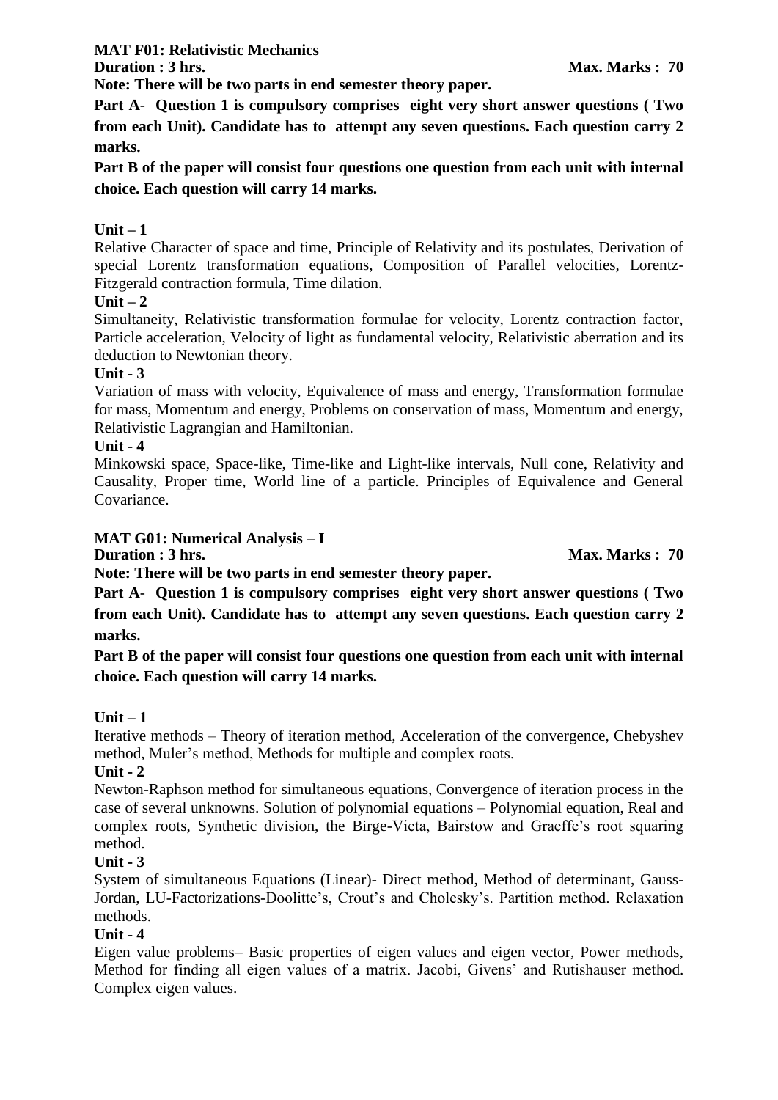**MAT F01: Relativistic Mechanics**

**Note: There will be two parts in end semester theory paper.** 

**Part A**- **Question 1 is compulsory comprises eight very short answer questions ( Two from each Unit). Candidate has to attempt any seven questions. Each question carry 2 marks.**

**Part B of the paper will consist four questions one question from each unit with internal choice. Each question will carry 14 marks.**

# **Unit – 1**

Relative Character of space and time, Principle of Relativity and its postulates, Derivation of special Lorentz transformation equations, Composition of Parallel velocities, Lorentz-Fitzgerald contraction formula, Time dilation.

# **Unit – 2**

Simultaneity, Relativistic transformation formulae for velocity, Lorentz contraction factor, Particle acceleration, Velocity of light as fundamental velocity, Relativistic aberration and its deduction to Newtonian theory.

#### **Unit - 3**

Variation of mass with velocity, Equivalence of mass and energy, Transformation formulae for mass, Momentum and energy, Problems on conservation of mass, Momentum and energy, Relativistic Lagrangian and Hamiltonian.

#### **Unit - 4**

Minkowski space, Space-like, Time-like and Light-like intervals, Null cone, Relativity and Causality, Proper time, World line of a particle. Principles of Equivalence and General Covariance.

# **MAT G01: Numerical Analysis – I**

**Duration : 3 hrs.** Max. Marks : 70

**Note: There will be two parts in end semester theory paper.** 

**Part A**- **Question 1 is compulsory comprises eight very short answer questions ( Two from each Unit). Candidate has to attempt any seven questions. Each question carry 2 marks.**

**Part B of the paper will consist four questions one question from each unit with internal choice. Each question will carry 14 marks.**

# **Unit – 1**

Iterative methods – Theory of iteration method, Acceleration of the convergence, Chebyshev method, Muler's method, Methods for multiple and complex roots.

#### **Unit - 2**

Newton-Raphson method for simultaneous equations, Convergence of iteration process in the case of several unknowns. Solution of polynomial equations – Polynomial equation, Real and complex roots, Synthetic division, the Birge-Vieta, Bairstow and Graeffe's root squaring method.

# **Unit - 3**

System of simultaneous Equations (Linear)- Direct method, Method of determinant, Gauss-Jordan, LU-Factorizations-Doolitte's, Crout's and Cholesky's. Partition method. Relaxation methods.

# **Unit - 4**

Eigen value problems– Basic properties of eigen values and eigen vector, Power methods, Method for finding all eigen values of a matrix. Jacobi, Givens' and Rutishauser method. Complex eigen values.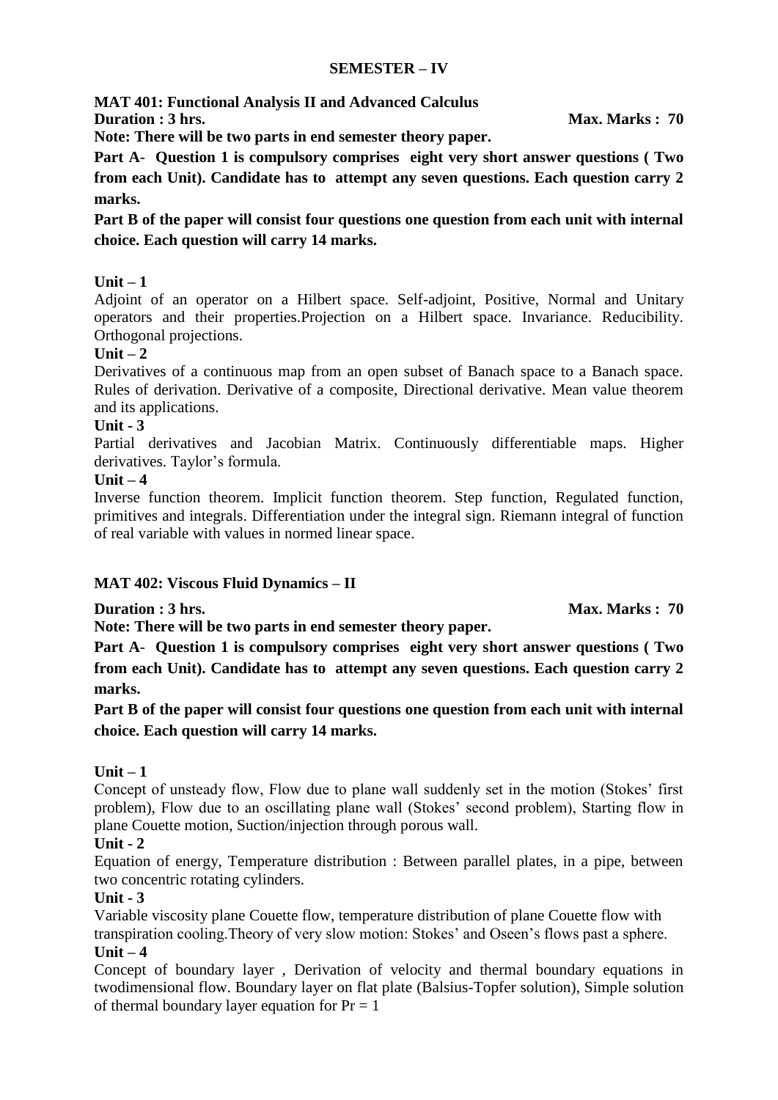#### **SEMESTER – IV**

**MAT 401: Functional Analysis II and Advanced Calculus Duration : 3 hrs.** Max. Marks : 70

**Note: There will be two parts in end semester theory paper.** 

**Part A**- **Question 1 is compulsory comprises eight very short answer questions ( Two from each Unit). Candidate has to attempt any seven questions. Each question carry 2 marks.**

**Part B of the paper will consist four questions one question from each unit with internal choice. Each question will carry 14 marks.**

# **Unit – 1**

Adjoint of an operator on a Hilbert space. Self-adjoint, Positive, Normal and Unitary operators and their properties.Projection on a Hilbert space. Invariance. Reducibility. Orthogonal projections.

#### $\textbf{Unit} = 2$

Derivatives of a continuous map from an open subset of Banach space to a Banach space. Rules of derivation. Derivative of a composite, Directional derivative. Mean value theorem and its applications.

#### **Unit - 3**

Partial derivatives and Jacobian Matrix. Continuously differentiable maps. Higher derivatives. Taylor's formula.

#### **Unit – 4**

Inverse function theorem. Implicit function theorem. Step function, Regulated function, primitives and integrals. Differentiation under the integral sign. Riemann integral of function of real variable with values in normed linear space.

# **MAT 402: Viscous Fluid Dynamics – II**

**Duration : 3 hrs.** Max. Marks : 70

**Note: There will be two parts in end semester theory paper.** 

**Part A**- **Question 1 is compulsory comprises eight very short answer questions ( Two from each Unit). Candidate has to attempt any seven questions. Each question carry 2 marks.**

**Part B of the paper will consist four questions one question from each unit with internal choice. Each question will carry 14 marks.**

# **Unit – 1**

Concept of unsteady flow, Flow due to plane wall suddenly set in the motion (Stokes' first problem), Flow due to an oscillating plane wall (Stokes' second problem), Starting flow in plane Couette motion, Suction/injection through porous wall.

#### **Unit - 2**

Equation of energy, Temperature distribution : Between parallel plates, in a pipe, between two concentric rotating cylinders.

#### **Unit - 3**

Variable viscosity plane Couette flow, temperature distribution of plane Couette flow with transpiration cooling.Theory of very slow motion: Stokes' and Oseen's flows past a sphere.

# **Unit – 4**

Concept of boundary layer , Derivation of velocity and thermal boundary equations in twodimensional flow. Boundary layer on flat plate (Balsius-Topfer solution), Simple solution of thermal boundary layer equation for  $Pr = 1$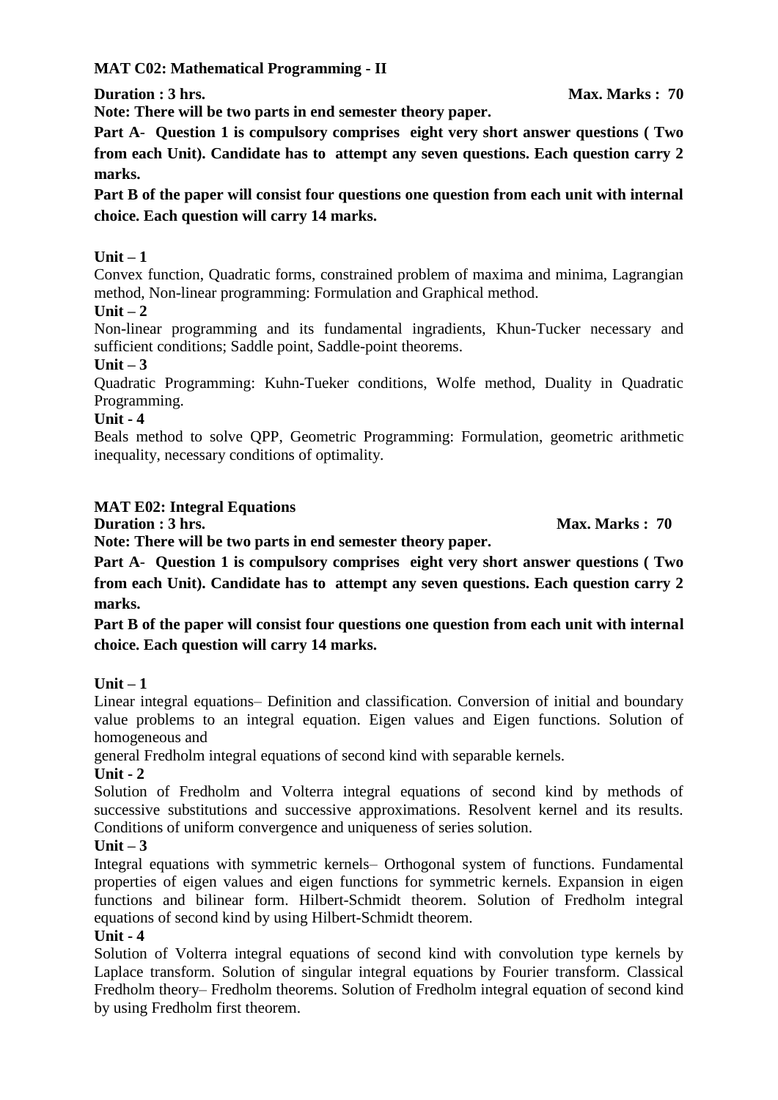**MAT C02: Mathematical Programming - II**

**Duration : 3 hrs.** Max. Marks : 70

**Note: There will be two parts in end semester theory paper.** 

**Part A**- **Question 1 is compulsory comprises eight very short answer questions ( Two from each Unit). Candidate has to attempt any seven questions. Each question carry 2 marks.**

**Part B of the paper will consist four questions one question from each unit with internal choice. Each question will carry 14 marks.**

# **Unit – 1**

Convex function, Quadratic forms, constrained problem of maxima and minima, Lagrangian method, Non-linear programming: Formulation and Graphical method.

# $\textbf{Unit} - 2$

Non-linear programming and its fundamental ingradients, Khun-Tucker necessary and sufficient conditions; Saddle point, Saddle-point theorems.

#### **Unit – 3**

Quadratic Programming: Kuhn-Tueker conditions, Wolfe method, Duality in Quadratic Programming.

#### **Unit - 4**

Beals method to solve QPP, Geometric Programming: Formulation, geometric arithmetic inequality, necessary conditions of optimality.

# **MAT E02: Integral Equations**

**Duration : 3 hrs.** Max. Marks : 70

**Note: There will be two parts in end semester theory paper.** 

**Part A**- **Question 1 is compulsory comprises eight very short answer questions ( Two from each Unit). Candidate has to attempt any seven questions. Each question carry 2 marks.**

**Part B of the paper will consist four questions one question from each unit with internal choice. Each question will carry 14 marks.**

# **Unit – 1**

Linear integral equations– Definition and classification. Conversion of initial and boundary value problems to an integral equation. Eigen values and Eigen functions. Solution of homogeneous and

general Fredholm integral equations of second kind with separable kernels.

# **Unit - 2**

Solution of Fredholm and Volterra integral equations of second kind by methods of successive substitutions and successive approximations. Resolvent kernel and its results. Conditions of uniform convergence and uniqueness of series solution.

# **Unit – 3**

Integral equations with symmetric kernels– Orthogonal system of functions. Fundamental properties of eigen values and eigen functions for symmetric kernels. Expansion in eigen functions and bilinear form. Hilbert-Schmidt theorem. Solution of Fredholm integral equations of second kind by using Hilbert-Schmidt theorem.

# **Unit - 4**

Solution of Volterra integral equations of second kind with convolution type kernels by Laplace transform. Solution of singular integral equations by Fourier transform. Classical Fredholm theory– Fredholm theorems. Solution of Fredholm integral equation of second kind by using Fredholm first theorem.